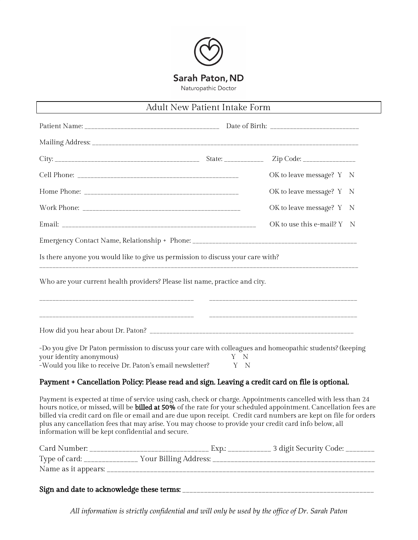

## Adult New Patient Intake Form

|                                                                                                                                                                                                                                                                                                                                                                                                                                                                                                                     | Zip Code: _________________                                      |  |
|---------------------------------------------------------------------------------------------------------------------------------------------------------------------------------------------------------------------------------------------------------------------------------------------------------------------------------------------------------------------------------------------------------------------------------------------------------------------------------------------------------------------|------------------------------------------------------------------|--|
|                                                                                                                                                                                                                                                                                                                                                                                                                                                                                                                     | OK to leave message? Y N                                         |  |
|                                                                                                                                                                                                                                                                                                                                                                                                                                                                                                                     | OK to leave message? Y N                                         |  |
|                                                                                                                                                                                                                                                                                                                                                                                                                                                                                                                     | OK to leave message? Y N                                         |  |
|                                                                                                                                                                                                                                                                                                                                                                                                                                                                                                                     | OK to use this e-mail? $Y \times N$                              |  |
|                                                                                                                                                                                                                                                                                                                                                                                                                                                                                                                     |                                                                  |  |
| Is there anyone you would like to give us permission to discuss your care with?                                                                                                                                                                                                                                                                                                                                                                                                                                     |                                                                  |  |
| Who are your current health providers? Please list name, practice and city.                                                                                                                                                                                                                                                                                                                                                                                                                                         |                                                                  |  |
| -Do you give Dr Paton permission to discuss your care with colleagues and homeopathic students? (keeping<br>your identity anonymous)                                                                                                                                                                                                                                                                                                                                                                                | Y N                                                              |  |
| -Would you like to receive Dr. Paton's email newsletter?                                                                                                                                                                                                                                                                                                                                                                                                                                                            | Y N                                                              |  |
| Payment + Cancellation Policy: Please read and sign. Leaving a credit card on file is optional.                                                                                                                                                                                                                                                                                                                                                                                                                     |                                                                  |  |
| Payment is expected at time of service using cash, check or charge. Appointments cancelled with less than 24<br>hours notice, or missed, will be billed at 50% of the rate for your scheduled appointment. Cancellation fees are<br>billed via credit card on file or email and are due upon receipt. Credit card numbers are kept on file for orders<br>plus any cancellation fees that may arise. You may choose to provide your credit card info below, all<br>information will be kept confidential and secure. |                                                                  |  |
| $Card$ Number                                                                                                                                                                                                                                                                                                                                                                                                                                                                                                       | $\Gamma_{V}$ $\Gamma_{V}$ $\Gamma_{V}$ $\Gamma_{V}$ $\Gamma_{V}$ |  |

| Card Number:        |                       | 3 digit Security Code: |  |
|---------------------|-----------------------|------------------------|--|
| Type of card:       | Your Billing Address: |                        |  |
| Name as it appears: |                       |                        |  |
|                     |                       |                        |  |

Sign and date to acknowledge these terms: \_\_\_\_\_\_\_\_\_\_\_\_\_\_\_\_\_\_\_\_\_\_\_\_\_\_\_\_\_\_\_\_\_\_\_\_\_\_\_\_\_\_\_\_\_\_\_\_\_\_\_\_\_

*All information is strictly confidential and will only be used by the of ice of Dr. Sarah Paton*